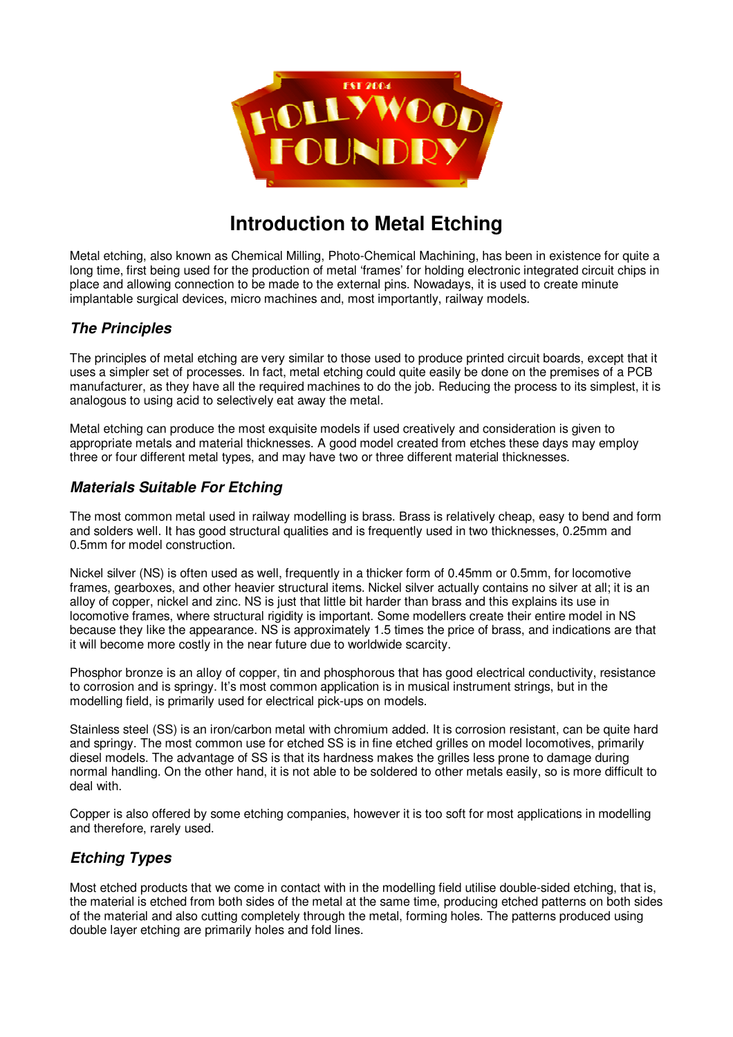

# **Introduction to Metal Etching**

Metal etching, also known as Chemical Milling, Photo-Chemical Machining, has been in existence for quite a long time, first being used for the production of metal 'frames' for holding electronic integrated circuit chips in place and allowing connection to be made to the external pins. Nowadays, it is used to create minute implantable surgical devices, micro machines and, most importantly, railway models.

## *The Principles*

The principles of metal etching are very similar to those used to produce printed circuit boards, except that it uses a simpler set of processes. In fact, metal etching could quite easily be done on the premises of a PCB manufacturer, as they have all the required machines to do the job. Reducing the process to its simplest, it is analogous to using acid to selectively eat away the metal.

Metal etching can produce the most exquisite models if used creatively and consideration is given to appropriate metals and material thicknesses. A good model created from etches these days may employ three or four different metal types, and may have two or three different material thicknesses.

## *Materials Suitable For Etching*

The most common metal used in railway modelling is brass. Brass is relatively cheap, easy to bend and form and solders well. It has good structural qualities and is frequently used in two thicknesses, 0.25mm and 0.5mm for model construction.

Nickel silver (NS) is often used as well, frequently in a thicker form of 0.45mm or 0.5mm, for locomotive frames, gearboxes, and other heavier structural items. Nickel silver actually contains no silver at all; it is an alloy of copper, nickel and zinc. NS is just that little bit harder than brass and this explains its use in locomotive frames, where structural rigidity is important. Some modellers create their entire model in NS because they like the appearance. NS is approximately 1.5 times the price of brass, and indications are that it will become more costly in the near future due to worldwide scarcity.

Phosphor bronze is an alloy of copper, tin and phosphorous that has good electrical conductivity, resistance to corrosion and is springy. It's most common application is in musical instrument strings, but in the modelling field, is primarily used for electrical pick-ups on models.

Stainless steel (SS) is an iron/carbon metal with chromium added. It is corrosion resistant, can be quite hard and springy. The most common use for etched SS is in fine etched grilles on model locomotives, primarily diesel models. The advantage of SS is that its hardness makes the grilles less prone to damage during normal handling. On the other hand, it is not able to be soldered to other metals easily, so is more difficult to deal with.

Copper is also offered by some etching companies, however it is too soft for most applications in modelling and therefore, rarely used.

## *Etching Types*

Most etched products that we come in contact with in the modelling field utilise double-sided etching, that is, the material is etched from both sides of the metal at the same time, producing etched patterns on both sides of the material and also cutting completely through the metal, forming holes. The patterns produced using double layer etching are primarily holes and fold lines.